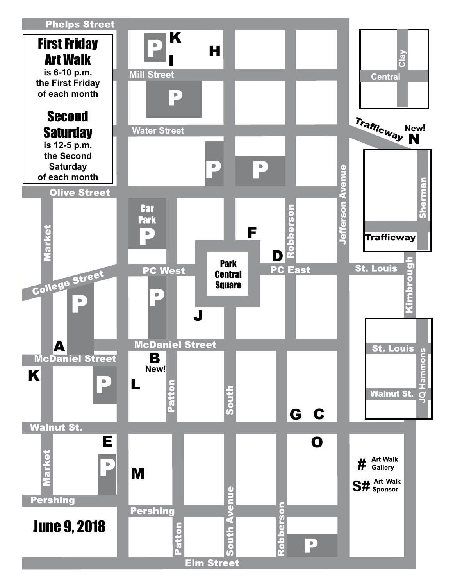